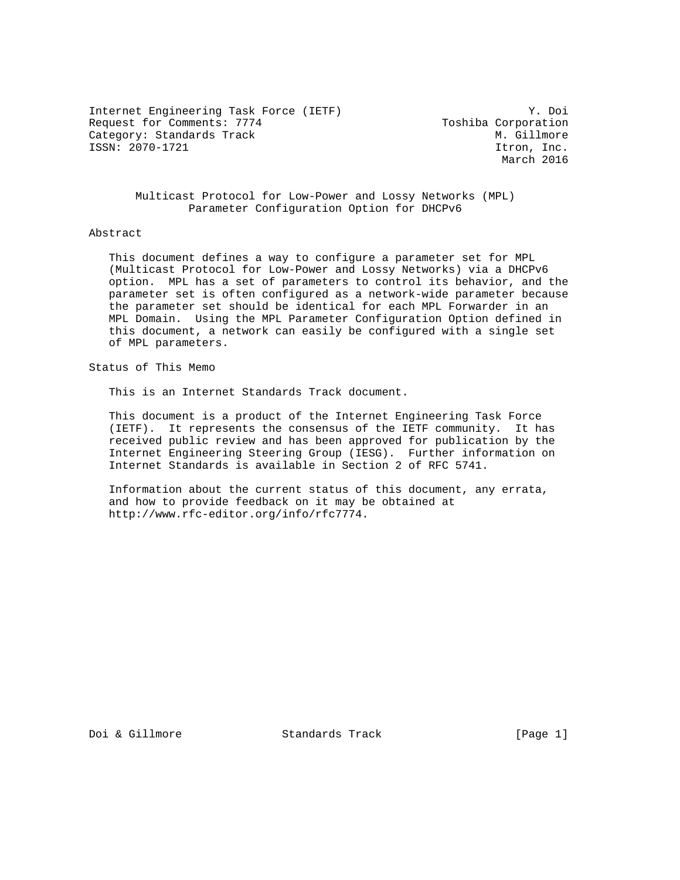Internet Engineering Task Force (IETF) Y. Doi Request for Comments: 7774 Toshiba Corporation Category: Standards Track M. Gillmore ISSN: 2070-1721 Itron, Inc.

March 2016

 Multicast Protocol for Low-Power and Lossy Networks (MPL) Parameter Configuration Option for DHCPv6

#### Abstract

 This document defines a way to configure a parameter set for MPL (Multicast Protocol for Low-Power and Lossy Networks) via a DHCPv6 option. MPL has a set of parameters to control its behavior, and the parameter set is often configured as a network-wide parameter because the parameter set should be identical for each MPL Forwarder in an MPL Domain. Using the MPL Parameter Configuration Option defined in this document, a network can easily be configured with a single set of MPL parameters.

Status of This Memo

This is an Internet Standards Track document.

 This document is a product of the Internet Engineering Task Force (IETF). It represents the consensus of the IETF community. It has received public review and has been approved for publication by the Internet Engineering Steering Group (IESG). Further information on Internet Standards is available in Section 2 of RFC 5741.

 Information about the current status of this document, any errata, and how to provide feedback on it may be obtained at http://www.rfc-editor.org/info/rfc7774.

Doi & Gillmore Standards Track [Page 1]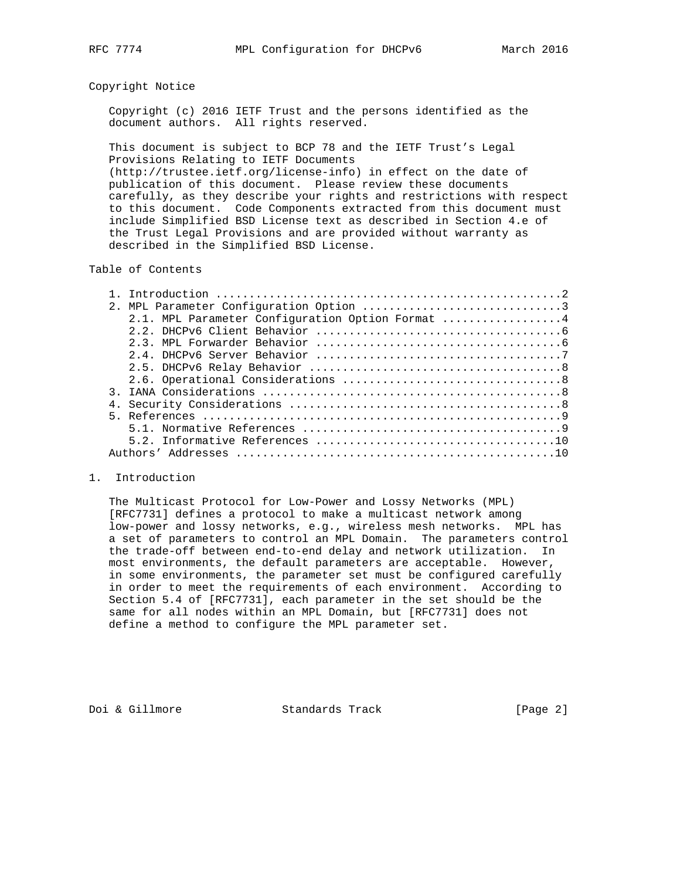### Copyright Notice

 Copyright (c) 2016 IETF Trust and the persons identified as the document authors. All rights reserved.

 This document is subject to BCP 78 and the IETF Trust's Legal Provisions Relating to IETF Documents

 (http://trustee.ietf.org/license-info) in effect on the date of publication of this document. Please review these documents carefully, as they describe your rights and restrictions with respect to this document. Code Components extracted from this document must include Simplified BSD License text as described in Section 4.e of the Trust Legal Provisions and are provided without warranty as described in the Simplified BSD License.

## Table of Contents

| 2.1. MPL Parameter Configuration Option Format 4 |
|--------------------------------------------------|
|                                                  |
|                                                  |
|                                                  |
|                                                  |
|                                                  |
|                                                  |
|                                                  |
|                                                  |
|                                                  |
|                                                  |
|                                                  |

### 1. Introduction

 The Multicast Protocol for Low-Power and Lossy Networks (MPL) [RFC7731] defines a protocol to make a multicast network among low-power and lossy networks, e.g., wireless mesh networks. MPL has a set of parameters to control an MPL Domain. The parameters control the trade-off between end-to-end delay and network utilization. In most environments, the default parameters are acceptable. However, in some environments, the parameter set must be configured carefully in order to meet the requirements of each environment. According to Section 5.4 of [RFC7731], each parameter in the set should be the same for all nodes within an MPL Domain, but [RFC7731] does not define a method to configure the MPL parameter set.

Doi & Gillmore Standards Track [Page 2]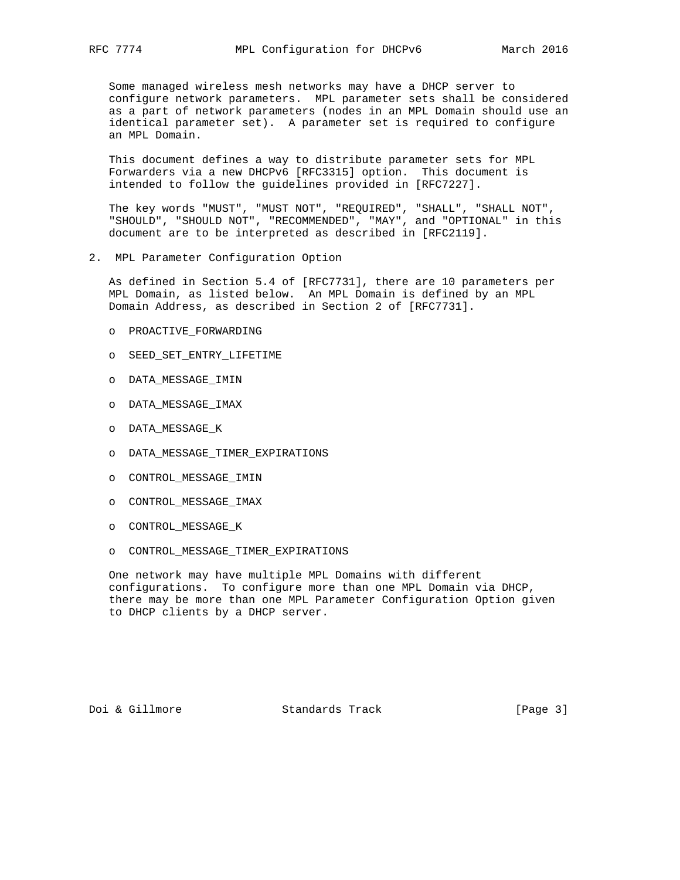Some managed wireless mesh networks may have a DHCP server to configure network parameters. MPL parameter sets shall be considered as a part of network parameters (nodes in an MPL Domain should use an identical parameter set). A parameter set is required to configure an MPL Domain.

 This document defines a way to distribute parameter sets for MPL Forwarders via a new DHCPv6 [RFC3315] option. This document is intended to follow the guidelines provided in [RFC7227].

 The key words "MUST", "MUST NOT", "REQUIRED", "SHALL", "SHALL NOT", "SHOULD", "SHOULD NOT", "RECOMMENDED", "MAY", and "OPTIONAL" in this document are to be interpreted as described in [RFC2119].

2. MPL Parameter Configuration Option

 As defined in Section 5.4 of [RFC7731], there are 10 parameters per MPL Domain, as listed below. An MPL Domain is defined by an MPL Domain Address, as described in Section 2 of [RFC7731].

- o PROACTIVE\_FORWARDING
- o SEED\_SET\_ENTRY\_LIFETIME
- o DATA\_MESSAGE\_IMIN
- o DATA\_MESSAGE\_IMAX
- o DATA\_MESSAGE\_K
- o DATA\_MESSAGE\_TIMER\_EXPIRATIONS
- o CONTROL\_MESSAGE\_IMIN
- o CONTROL\_MESSAGE\_IMAX
- o CONTROL\_MESSAGE\_K
- o CONTROL\_MESSAGE\_TIMER\_EXPIRATIONS

 One network may have multiple MPL Domains with different configurations. To configure more than one MPL Domain via DHCP, there may be more than one MPL Parameter Configuration Option given to DHCP clients by a DHCP server.

Doi & Gillmore Standards Track [Page 3]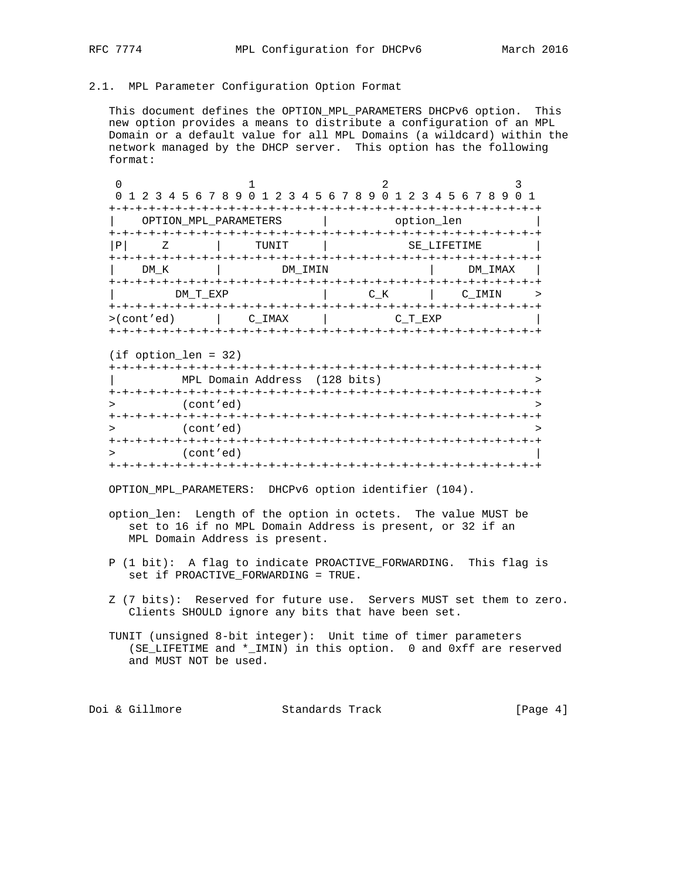## 2.1. MPL Parameter Configuration Option Format

 This document defines the OPTION\_MPL\_PARAMETERS DHCPv6 option. This new option provides a means to distribute a configuration of an MPL Domain or a default value for all MPL Domains (a wildcard) within the network managed by the DHCP server. This option has the following format:

|                                    | 0 1 2 3 4 5 6 7 8 9 0 1 2 3 4 5 6 7 8 9 0 1 2 3 4 5 6 7 8 9 |                                 |             |
|------------------------------------|-------------------------------------------------------------|---------------------------------|-------------|
|                                    |                                                             |                                 |             |
|                                    | OPTION MPL PARAMETERS                                       | option len                      |             |
|                                    |                                                             |                                 |             |
| Ρ                                  | TUNIT                                                       |                                 | SE LIFETIME |
|                                    |                                                             | +-+-+-+-+-+-+-+-+-+-+-+-+-+-+-+ |             |
| DM K                               | DM IMIN                                                     |                                 | DM IMAX     |
|                                    | +-+-+-+-+-+-+-+-+-+-+-                                      |                                 |             |
| DM T EXP                           |                                                             | C K                             | C IMIN      |
|                                    |                                                             |                                 |             |
| $>(\text{cont} \, ' \, \text{ed})$ | C IMAX                                                      | C T EXP                         |             |
|                                    | +-+-+-+-+-+-+-+-+-+-+-+-+-+-+-+-+-+-+                       |                                 |             |

(if option\_len = 32)

|             | MPL Domain Address (128 bits) |  |
|-------------|-------------------------------|--|
|             | -+-+-+-+-+-+-+-+-+-+-+-+-+-+  |  |
|             | (cont'ed)                     |  |
|             |                               |  |
|             | (cont'ed)                     |  |
| $+ - + - +$ |                               |  |
|             | (cont'ed)                     |  |

OPTION\_MPL\_PARAMETERS: DHCPv6 option identifier (104).

- option\_len: Length of the option in octets. The value MUST be set to 16 if no MPL Domain Address is present, or 32 if an MPL Domain Address is present.
- P (1 bit): A flag to indicate PROACTIVE\_FORWARDING. This flag is set if PROACTIVE\_FORWARDING = TRUE.
- Z (7 bits): Reserved for future use. Servers MUST set them to zero. Clients SHOULD ignore any bits that have been set.
- TUNIT (unsigned 8-bit integer): Unit time of timer parameters (SE\_LIFETIME and \*\_IMIN) in this option. 0 and 0xff are reserved and MUST NOT be used.

Doi & Gillmore **Standards Track** [Page 4]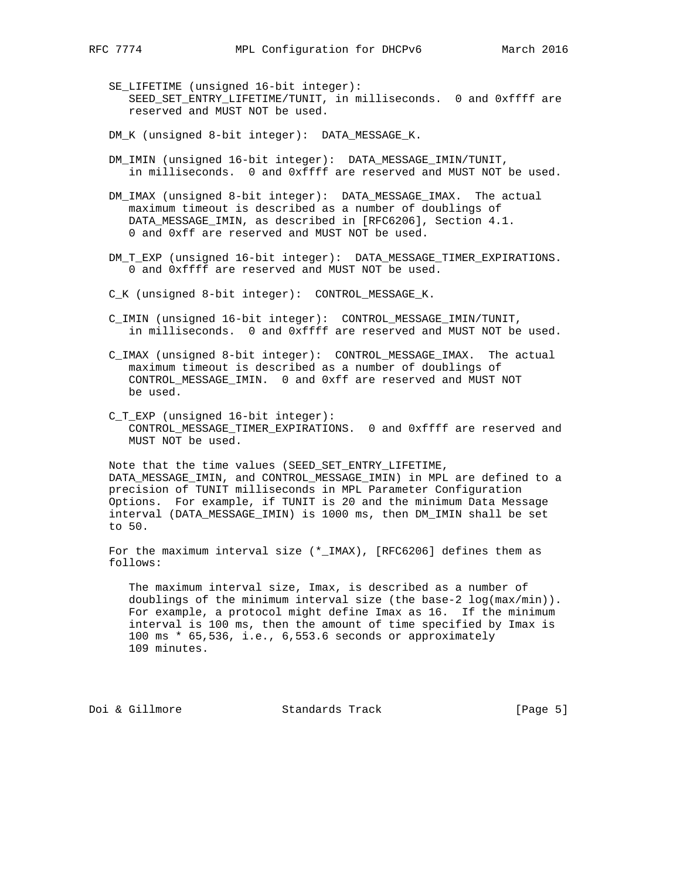SE\_LIFETIME (unsigned 16-bit integer): SEED\_SET\_ENTRY\_LIFETIME/TUNIT, in milliseconds. 0 and 0xffff are reserved and MUST NOT be used.

DM\_K (unsigned 8-bit integer): DATA\_MESSAGE\_K.

- DM\_IMIN (unsigned 16-bit integer): DATA\_MESSAGE\_IMIN/TUNIT, in milliseconds. 0 and 0xffff are reserved and MUST NOT be used.
- DM\_IMAX (unsigned 8-bit integer): DATA\_MESSAGE\_IMAX. The actual maximum timeout is described as a number of doublings of DATA\_MESSAGE\_IMIN, as described in [RFC6206], Section 4.1. 0 and 0xff are reserved and MUST NOT be used.
- DM\_T\_EXP (unsigned 16-bit integer): DATA\_MESSAGE\_TIMER\_EXPIRATIONS. 0 and 0xffff are reserved and MUST NOT be used.

C\_K (unsigned 8-bit integer): CONTROL\_MESSAGE\_K.

- C\_IMIN (unsigned 16-bit integer): CONTROL\_MESSAGE\_IMIN/TUNIT, in milliseconds. 0 and 0xffff are reserved and MUST NOT be used.
- C\_IMAX (unsigned 8-bit integer): CONTROL\_MESSAGE\_IMAX. The actual maximum timeout is described as a number of doublings of CONTROL\_MESSAGE\_IMIN. 0 and 0xff are reserved and MUST NOT be used.
- C T EXP (unsigned 16-bit integer): CONTROL\_MESSAGE\_TIMER\_EXPIRATIONS. 0 and 0xffff are reserved and MUST NOT be used.

 Note that the time values (SEED\_SET\_ENTRY\_LIFETIME, DATA\_MESSAGE\_IMIN, and CONTROL\_MESSAGE\_IMIN) in MPL are defined to a precision of TUNIT milliseconds in MPL Parameter Configuration Options. For example, if TUNIT is 20 and the minimum Data Message interval (DATA\_MESSAGE\_IMIN) is 1000 ms, then DM\_IMIN shall be set to 50.

For the maximum interval size  $(*_IMAX)$ , [RFC6206] defines them as follows:

 The maximum interval size, Imax, is described as a number of doublings of the minimum interval size (the base-2 log(max/min)). For example, a protocol might define Imax as 16. If the minimum interval is 100 ms, then the amount of time specified by Imax is 100 ms \* 65,536, i.e., 6,553.6 seconds or approximately 109 minutes.

Doi & Gillmore Standards Track [Page 5]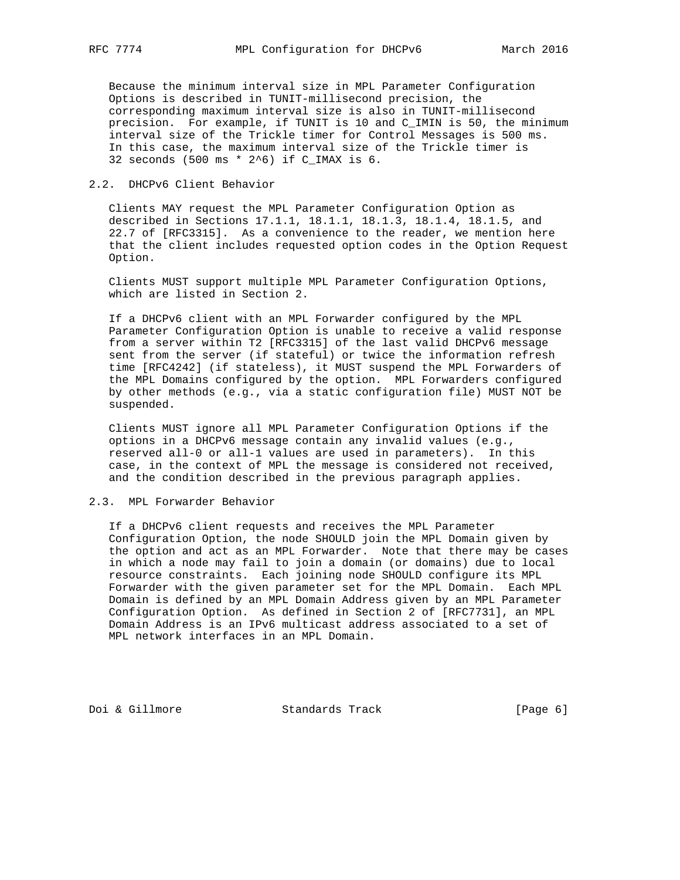Because the minimum interval size in MPL Parameter Configuration Options is described in TUNIT-millisecond precision, the corresponding maximum interval size is also in TUNIT-millisecond precision. For example, if TUNIT is 10 and C\_IMIN is 50, the minimum interval size of the Trickle timer for Control Messages is 500 ms. In this case, the maximum interval size of the Trickle timer is 32 seconds (500 ms \* 2^6) if C\_IMAX is 6.

# 2.2. DHCPv6 Client Behavior

 Clients MAY request the MPL Parameter Configuration Option as described in Sections 17.1.1, 18.1.1, 18.1.3, 18.1.4, 18.1.5, and 22.7 of [RFC3315]. As a convenience to the reader, we mention here that the client includes requested option codes in the Option Request Option.

 Clients MUST support multiple MPL Parameter Configuration Options, which are listed in Section 2.

 If a DHCPv6 client with an MPL Forwarder configured by the MPL Parameter Configuration Option is unable to receive a valid response from a server within T2 [RFC3315] of the last valid DHCPv6 message sent from the server (if stateful) or twice the information refresh time [RFC4242] (if stateless), it MUST suspend the MPL Forwarders of the MPL Domains configured by the option. MPL Forwarders configured by other methods (e.g., via a static configuration file) MUST NOT be suspended.

 Clients MUST ignore all MPL Parameter Configuration Options if the options in a DHCPv6 message contain any invalid values (e.g., reserved all-0 or all-1 values are used in parameters). In this case, in the context of MPL the message is considered not received, and the condition described in the previous paragraph applies.

## 2.3. MPL Forwarder Behavior

 If a DHCPv6 client requests and receives the MPL Parameter Configuration Option, the node SHOULD join the MPL Domain given by the option and act as an MPL Forwarder. Note that there may be cases in which a node may fail to join a domain (or domains) due to local resource constraints. Each joining node SHOULD configure its MPL Forwarder with the given parameter set for the MPL Domain. Each MPL Domain is defined by an MPL Domain Address given by an MPL Parameter Configuration Option. As defined in Section 2 of [RFC7731], an MPL Domain Address is an IPv6 multicast address associated to a set of MPL network interfaces in an MPL Domain.

Doi & Gillmore Standards Track [Page 6]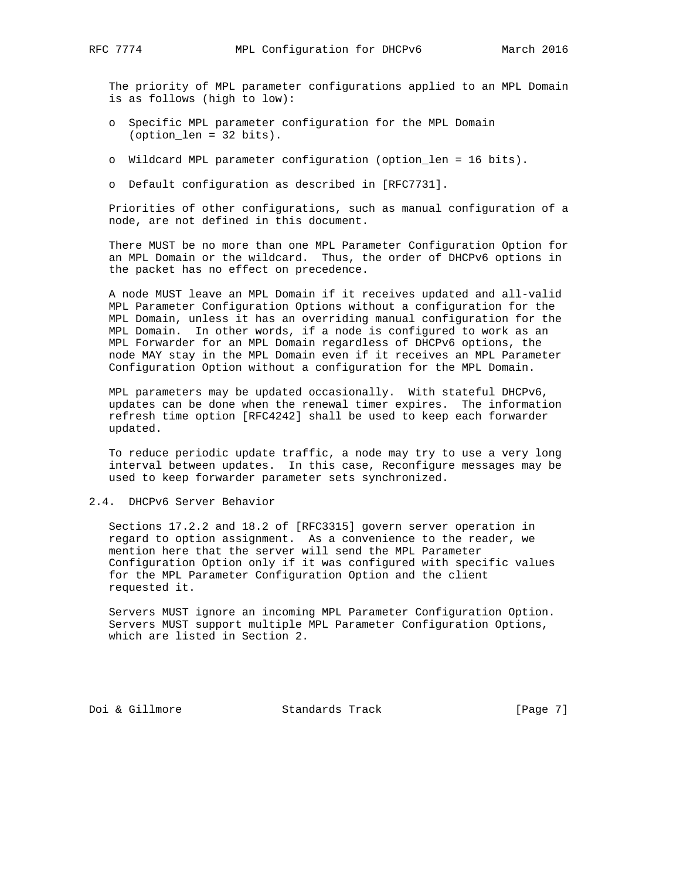The priority of MPL parameter configurations applied to an MPL Domain is as follows (high to low):

- o Specific MPL parameter configuration for the MPL Domain (option\_len = 32 bits).
- o Wildcard MPL parameter configuration (option\_len = 16 bits).
- o Default configuration as described in [RFC7731].

 Priorities of other configurations, such as manual configuration of a node, are not defined in this document.

 There MUST be no more than one MPL Parameter Configuration Option for an MPL Domain or the wildcard. Thus, the order of DHCPv6 options in the packet has no effect on precedence.

 A node MUST leave an MPL Domain if it receives updated and all-valid MPL Parameter Configuration Options without a configuration for the MPL Domain, unless it has an overriding manual configuration for the MPL Domain. In other words, if a node is configured to work as an MPL Forwarder for an MPL Domain regardless of DHCPv6 options, the node MAY stay in the MPL Domain even if it receives an MPL Parameter Configuration Option without a configuration for the MPL Domain.

 MPL parameters may be updated occasionally. With stateful DHCPv6, updates can be done when the renewal timer expires. The information refresh time option [RFC4242] shall be used to keep each forwarder updated.

 To reduce periodic update traffic, a node may try to use a very long interval between updates. In this case, Reconfigure messages may be used to keep forwarder parameter sets synchronized.

### 2.4. DHCPv6 Server Behavior

 Sections 17.2.2 and 18.2 of [RFC3315] govern server operation in regard to option assignment. As a convenience to the reader, we mention here that the server will send the MPL Parameter Configuration Option only if it was configured with specific values for the MPL Parameter Configuration Option and the client requested it.

 Servers MUST ignore an incoming MPL Parameter Configuration Option. Servers MUST support multiple MPL Parameter Configuration Options, which are listed in Section 2.

Doi & Gillmore Standards Track [Page 7]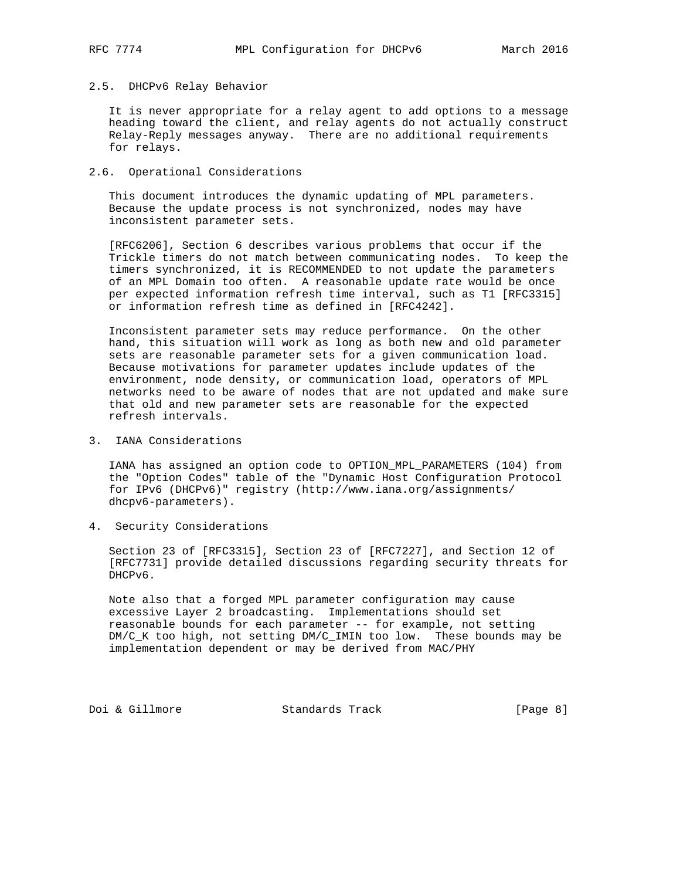# 2.5. DHCPv6 Relay Behavior

 It is never appropriate for a relay agent to add options to a message heading toward the client, and relay agents do not actually construct Relay-Reply messages anyway. There are no additional requirements for relays.

## 2.6. Operational Considerations

 This document introduces the dynamic updating of MPL parameters. Because the update process is not synchronized, nodes may have inconsistent parameter sets.

 [RFC6206], Section 6 describes various problems that occur if the Trickle timers do not match between communicating nodes. To keep the timers synchronized, it is RECOMMENDED to not update the parameters of an MPL Domain too often. A reasonable update rate would be once per expected information refresh time interval, such as T1 [RFC3315] or information refresh time as defined in [RFC4242].

 Inconsistent parameter sets may reduce performance. On the other hand, this situation will work as long as both new and old parameter sets are reasonable parameter sets for a given communication load. Because motivations for parameter updates include updates of the environment, node density, or communication load, operators of MPL networks need to be aware of nodes that are not updated and make sure that old and new parameter sets are reasonable for the expected refresh intervals.

3. IANA Considerations

 IANA has assigned an option code to OPTION\_MPL\_PARAMETERS (104) from the "Option Codes" table of the "Dynamic Host Configuration Protocol for IPv6 (DHCPv6)" registry (http://www.iana.org/assignments/ dhcpv6-parameters).

4. Security Considerations

 Section 23 of [RFC3315], Section 23 of [RFC7227], and Section 12 of [RFC7731] provide detailed discussions regarding security threats for DHCPv6.

 Note also that a forged MPL parameter configuration may cause excessive Layer 2 broadcasting. Implementations should set reasonable bounds for each parameter -- for example, not setting DM/C\_K too high, not setting DM/C\_IMIN too low. These bounds may be implementation dependent or may be derived from MAC/PHY

Doi & Gillmore Standards Track [Page 8]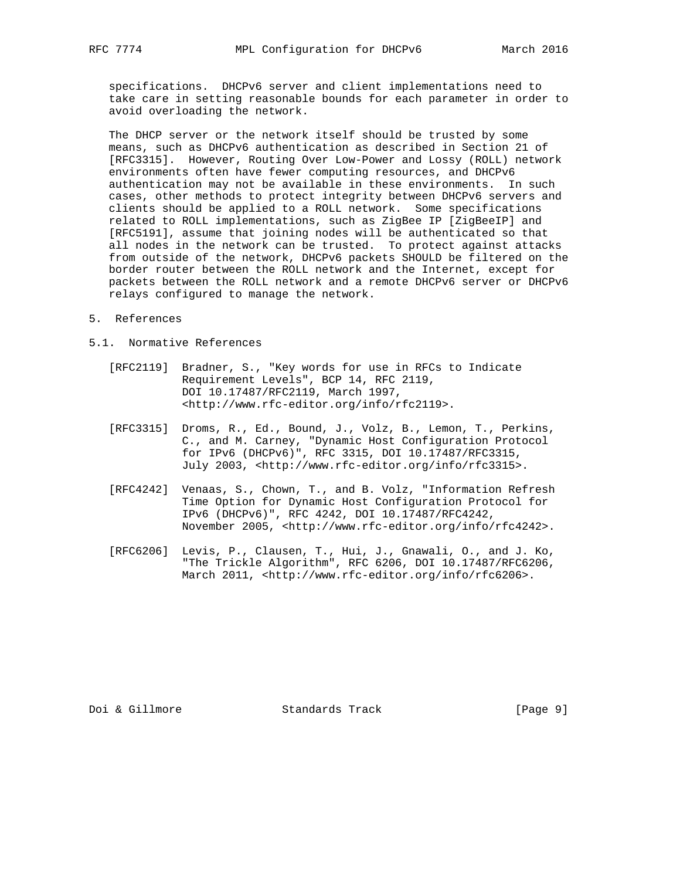specifications. DHCPv6 server and client implementations need to take care in setting reasonable bounds for each parameter in order to avoid overloading the network.

 The DHCP server or the network itself should be trusted by some means, such as DHCPv6 authentication as described in Section 21 of [RFC3315]. However, Routing Over Low-Power and Lossy (ROLL) network environments often have fewer computing resources, and DHCPv6 authentication may not be available in these environments. In such cases, other methods to protect integrity between DHCPv6 servers and clients should be applied to a ROLL network. Some specifications related to ROLL implementations, such as ZigBee IP [ZigBeeIP] and [RFC5191], assume that joining nodes will be authenticated so that all nodes in the network can be trusted. To protect against attacks from outside of the network, DHCPv6 packets SHOULD be filtered on the border router between the ROLL network and the Internet, except for packets between the ROLL network and a remote DHCPv6 server or DHCPv6 relays configured to manage the network.

- 5. References
- 5.1. Normative References
	- [RFC2119] Bradner, S., "Key words for use in RFCs to Indicate Requirement Levels", BCP 14, RFC 2119, DOI 10.17487/RFC2119, March 1997, <http://www.rfc-editor.org/info/rfc2119>.
	- [RFC3315] Droms, R., Ed., Bound, J., Volz, B., Lemon, T., Perkins, C., and M. Carney, "Dynamic Host Configuration Protocol for IPv6 (DHCPv6)", RFC 3315, DOI 10.17487/RFC3315, July 2003, <http://www.rfc-editor.org/info/rfc3315>.
	- [RFC4242] Venaas, S., Chown, T., and B. Volz, "Information Refresh Time Option for Dynamic Host Configuration Protocol for IPv6 (DHCPv6)", RFC 4242, DOI 10.17487/RFC4242, November 2005, <http://www.rfc-editor.org/info/rfc4242>.
	- [RFC6206] Levis, P., Clausen, T., Hui, J., Gnawali, O., and J. Ko, "The Trickle Algorithm", RFC 6206, DOI 10.17487/RFC6206, March 2011, <http://www.rfc-editor.org/info/rfc6206>.

Doi & Gillmore Standards Track [Page 9]